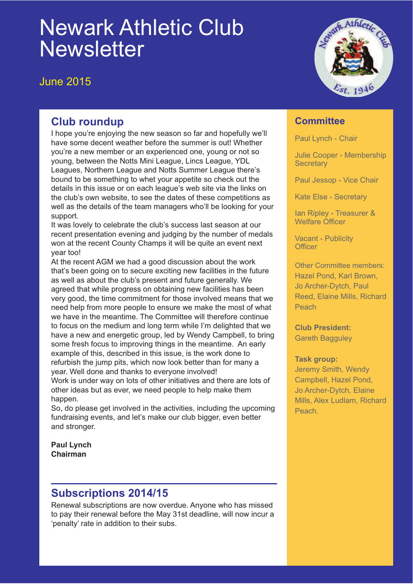# Newark Athletic Club **Newsletter**

June 2015



# **Club roundup**

I hope you're enjoying the new season so far and hopefully we'll have some decent weather before the summer is out! Whether you're a new member or an experienced one, young or not so young, between the Notts Mini League, Lincs League, YDL Leagues, Northern League and Notts Summer League there's bound to be something to whet your appetite so check out the details in this issue or on each league's web site via the links on the club's own website, to see the dates of these competitions as well as the details of the team managers who'll be looking for your support.

It was lovely to celebrate the club's success last season at our recent presentation evening and judging by the number of medals won at the recent County Champs it will be quite an event next year too!

At the recent AGM we had a good discussion about the work that's been going on to secure exciting new facilities in the future as well as about the club's present and future generally. We agreed that while progress on obtaining new facilities has been very good, the time commitment for those involved means that we need help from more people to ensure we make the most of what we have in the meantime. The Committee will therefore continue to focus on the medium and long term while I'm delighted that we have a new and energetic group, led by Wendy Campbell, to bring some fresh focus to improving things in the meantime. An early example of this, described in this issue, is the work done to refurbish the jump pits, which now look better than for many a year. Well done and thanks to everyone involved!

Work is under way on lots of other initiatives and there are lots of other ideas but as ever, we need people to help make them happen.

So, do please get involved in the activities, including the upcoming fundraising events, and let's make our club bigger, even better and stronger.

**Paul Lynch Chairman**

# **Subscriptions 2014/15**

Renewal subscriptions are now overdue. Anyone who has missed to pay their renewal before the May 31st deadline, will now incur a 'penalty' rate in addition to their subs.

### **Committee**

Paul Lynch - Chair

Julie Cooper - Membership **Secretary** 

Paul Jessop - Vice Chair

Kate Else - Secretary

Ian Ripley - Treasurer & Welfare Officer

Vacant - Publicity **Officer** 

Other Committee members: Hazel Pond, Karl Brown, Jo Archer-Dytch, Paul Reed, Elaine Mills, Richard Peach

**Club President:** Gareth Bagguley

#### **Task group:**

Jeremy Smith, Wendy Campbell, Hazel Pond, Jo Archer-Dytch, Elaine Mills, Alex Ludlam, Richard Peach.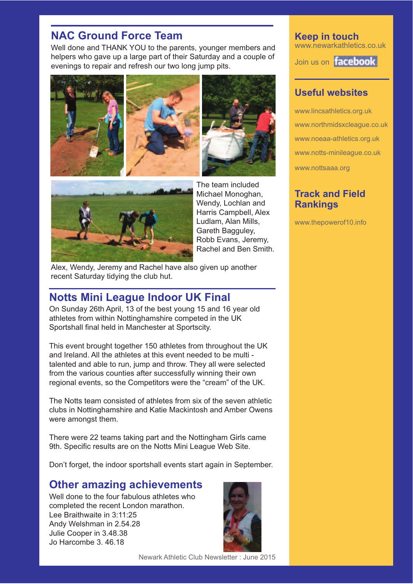# **NAC Ground Force Team**

Well done and THANK YOU to the parents, younger members and helpers who gave up a large part of their Saturday and a couple of evenings to repair and refresh our two long jump pits.





The team included Michael Monoghan, Wendy, Lochlan and Harris Campbell, Alex Ludlam, Alan Mills, Gareth Bagguley, Robb Evans, Jeremy, Rachel and Ben Smith.

Alex, Wendy, Jeremy and Rachel have also given up another recent Saturday tidying the club hut.

### **Notts Mini League Indoor UK Final**

On Sunday 26th April, 13 of the best young 15 and 16 year old athletes from within Nottinghamshire competed in the UK Sportshall final held in Manchester at Sportscity.

This event brought together 150 athletes from throughout the UK and Ireland. All the athletes at this event needed to be multi talented and able to run, jump and throw. They all were selected from the various counties after successfully winning their own regional events, so the Competitors were the "cream" of the UK.

The Notts team consisted of athletes from six of the seven athletic clubs in Nottinghamshire and Katie Mackintosh and Amber Owens were amongst them.

There were 22 teams taking part and the Nottingham Girls came 9th. Specific results are on the Notts Mini League Web Site.

Don't forget, the indoor sportshall events start again in September.

### **Other amazing achievements**

Well done to the four fabulous athletes who completed the recent London marathon. Lee Braithwaite in 3:11:25 Andy Welshman in 2.54.28 Julie Cooper in 3.48.38 Jo Harcombe 3. 46.18



**Keep in touch** www.newarkathletics.co.uk

Join us on **facebook** 

### **Useful websites**

www.lincsathletics.org.uk www.northmidsxcleague.co.uk www.noeaa-athletics.org.uk www.notts-minileague.co.uk www.nottsaaa.org

### **Track and Field Rankings**

www.thepowerof10.info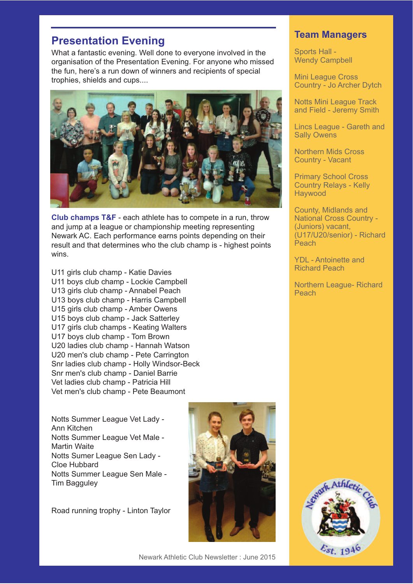# **Presentation Evening**

What a fantastic evening. Well done to everyone involved in the organisation of the Presentation Evening. For anyone who missed the fun, here's a run down of winners and recipients of special trophies, shields and cups....



**Club champs T&F** - each athlete has to compete in a run, throw and jump at a league or championship meeting representing Newark AC. Each performance earns points depending on their result and that determines who the club champ is - highest points wins.

U11 girls club champ - Katie Davies U11 boys club champ - Lockie Campbell U13 girls club champ - Annabel Peach U13 boys club champ - Harris Campbell U15 girls club champ - Amber Owens U15 boys club champ - Jack Satterley U17 girls club champs - Keating Walters U17 boys club champ - Tom Brown U20 ladies club champ - Hannah Watson U20 men's club champ - Pete Carrington Snr ladies club champ - Holly Windsor-Beck Snr men's club champ - Daniel Barrie Vet ladies club champ - Patricia Hill Vet men's club champ - Pete Beaumont

Notts Summer League Vet Lady - Ann Kitchen Notts Summer League Vet Male - Martin Waite Notts Sumer League Sen Lady - Cloe Hubbard Notts Summer League Sen Male - Tim Bagguley

Road running trophy - Linton Taylor



### **Team Managers**

Sports Hall - Wendy Campbell

Mini League Cross Country - Jo Archer Dytch

Notts Mini League Track and Field - Jeremy Smith

Lincs League - Gareth and Sally Owens

Northern Mids Cross Country - Vacant

Primary School Cross Country Relays - Kelly Haywood

County, Midlands and National Cross Country - (Juniors) vacant, (U17/U20/senior) - Richard Peach

YDL - Antoinette and Richard Peach

Northern League- Richard Peach

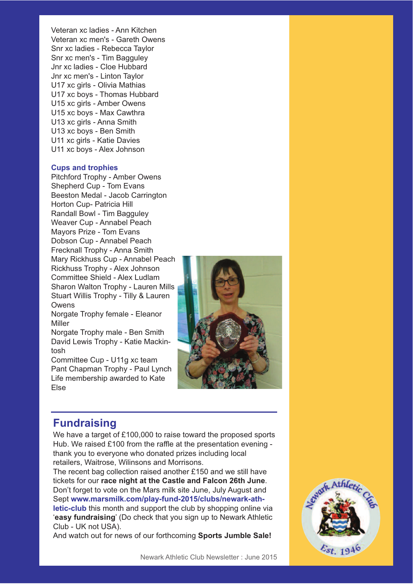Veteran xc ladies - Ann Kitchen Veteran xc men's - Gareth Owens Snr xc ladies - Rebecca Taylor Snr xc men's - Tim Bagguley Jnr xc ladies - Cloe Hubbard Jnr xc men's - Linton Taylor U17 xc girls - Olivia Mathias U17 xc boys - Thomas Hubbard U15 xc girls - Amber Owens U15 xc boys - Max Cawthra U13 xc girls - Anna Smith U13 xc boys - Ben Smith U11 xc girls - Katie Davies U11 xc boys - Alex Johnson

#### **Cups and trophies**

Pitchford Trophy - Amber Owens Shepherd Cup - Tom Evans Beeston Medal - Jacob Carrington Horton Cup- Patricia Hill Randall Bowl - Tim Bagguley Weaver Cup - Annabel Peach Mayors Prize - Tom Evans Dobson Cup - Annabel Peach Frecknall Trophy - Anna Smith Mary Rickhuss Cup - Annabel Peach Rickhuss Trophy - Alex Johnson Committee Shield - Alex Ludlam Sharon Walton Trophy - Lauren Mills Stuart Willis Trophy - Tilly & Lauren Owens

Norgate Trophy female - Eleanor Miller

Norgate Trophy male - Ben Smith David Lewis Trophy - Katie Mackintosh

Committee Cup - U11g xc team Pant Chapman Trophy - Paul Lynch Life membership awarded to Kate Else



### **Fundraising**

We have a target of £100,000 to raise toward the proposed sports Hub. We raised £100 from the raffle at the presentation evening thank you to everyone who donated prizes including local retailers, Waitrose, Wilinsons and Morrisons.

The recent bag collection raised another £150 and we still have tickets for our **race night at the Castle and Falcon 26th June**. Don't forget to vote on the Mars milk site June, July August and Sept **www.marsmilk.com/play-fund-2015/clubs/newark-athletic-club** this month and support the club by shopping online via '**easy fundraising**' (Do check that you sign up to Newark Athletic Club - UK not USA).

And watch out for news of our forthcoming **Sports Jumble Sale!**

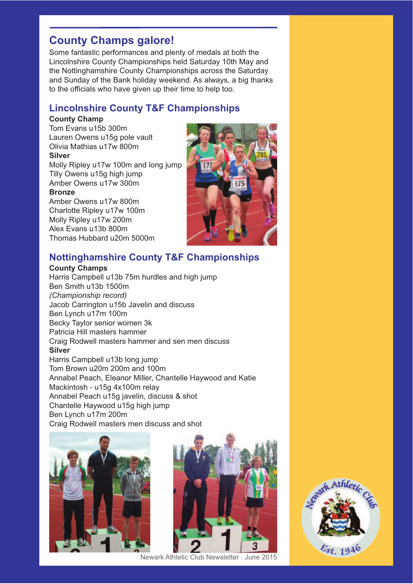# **County Champs galore!**

Some fantastic performances and plenty of medals at both the Lincolnshire County Championships held Saturday 10th May and the Nottinghamshire County Championships across the Saturday and Sunday of the Bank holiday weekend. As always, a big thanks to the officials who have given up their time to help too.

### **Lincolnshire County T&F Championships**

### **County Champ**

Tom Evans u15b 300m Lauren Owens u15g pole vault Olivia Mathias u17w 800m **Silver**

Molly Ripley u17w 100m and long jump Tilly Owens u15g high jump Amber Owens u17w 300m

#### **Bronze**

Amber Owens u17w 800m Charlotte Ripley u17w 100m Molly Ripley u17w 200m Alex Evans u13b 800m Thomas Hubbard u20m 5000m



### **Nottinghamshire County T&F Championships**

#### **County Champs**

Harris Campbell u13b 75m hurdles and high jump Ben Smith u13b 1500m *(Championship record)* Jacob Carrington u15b Javelin and discuss Ben Lynch u17m 100m Becky Taylor senior women 3k Patricia Hill masters hammer Craig Rodwell masters hammer and sen men discuss **Silver** Harris Campbell u13b long jump Tom Brown u20m 200m and 100m Annabel Peach, Eleanor Miller, Chantelle Haywood and Katie Mackintosh - u15g 4x100m relay Annabel Peach u15g javelin, discuss & shot Chantelle Haywood u15g high jump Ben Lynch u17m 200m Craig Rodwell masters men discuss and shot





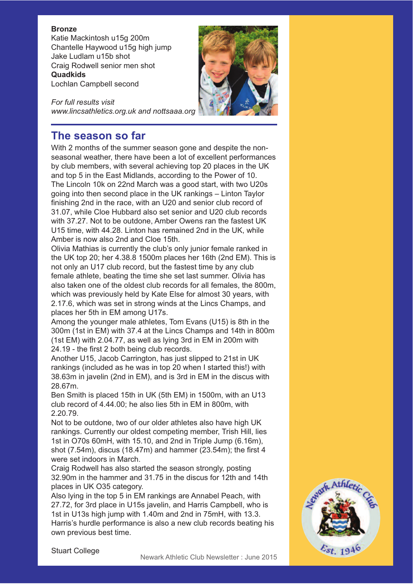#### **Bronze**

Katie Mackintosh u15g 200m Chantelle Haywood u15g high jump Jake Ludlam u15b shot Craig Rodwell senior men shot **Quadkids** Lochlan Campbell second

*For full results visit www.lincsathletics.org.uk and nottsaaa.org*



# **The season so far**

With 2 months of the summer season gone and despite the nonseasonal weather, there have been a lot of excellent performances by club members, with several achieving top 20 places in the UK and top 5 in the East Midlands, according to the Power of 10. The Lincoln 10k on 22nd March was a good start, with two U20s going into then second place in the UK rankings – Linton Taylor finishing 2nd in the race, with an U20 and senior club record of 31.07, while Cloe Hubbard also set senior and U20 club records with 37.27. Not to be outdone, Amber Owens ran the fastest UK U15 time, with 44.28. Linton has remained 2nd in the UK, while Amber is now also 2nd and Cloe 15th.

Olivia Mathias is currently the club's only junior female ranked in the UK top 20; her 4.38.8 1500m places her 16th (2nd EM). This is not only an U17 club record, but the fastest time by any club female athlete, beating the time she set last summer. Olivia has also taken one of the oldest club records for all females, the 800m, which was previously held by Kate Else for almost 30 years, with 2.17.6, which was set in strong winds at the Lincs Champs, and places her 5th in EM among U17s.

Among the younger male athletes, Tom Evans (U15) is 8th in the 300m (1st in EM) with 37.4 at the Lincs Champs and 14th in 800m (1st EM) with 2.04.77, as well as lying 3rd in EM in 200m with 24.19 - the first 2 both being club records.

Another U15, Jacob Carrington, has just slipped to 21st in UK rankings (included as he was in top 20 when I started this!) with 38.63m in javelin (2nd in EM), and is 3rd in EM in the discus with 28.67m.

Ben Smith is placed 15th in UK (5th EM) in 1500m, with an U13 club record of 4.44.00; he also lies 5th in EM in 800m, with 2.20.79.

Not to be outdone, two of our older athletes also have high UK rankings. Currently our oldest competing member, Trish Hill, lies 1st in O70s 60mH, with 15.10, and 2nd in Triple Jump (6.16m), shot (7.54m), discus (18.47m) and hammer (23.54m); the first 4 were set indoors in March.

Craig Rodwell has also started the season strongly, posting 32.90m in the hammer and 31.75 in the discus for 12th and 14th places in UK O35 category.

Also lying in the top 5 in EM rankings are Annabel Peach, with 27.72, for 3rd place in U15s javelin, and Harris Campbell, who is 1st in U13s high jump with 1.40m and 2nd in 75mH, with 13.3. Harris's hurdle performance is also a new club records beating his own previous best time.



Stuart College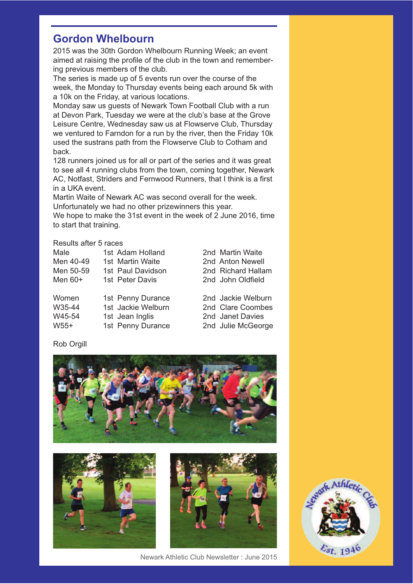### **Gordon Whelbourn**

2015 was the 30th Gordon Whelbourn Running Week; an event aimed at raising the profile of the club in the town and remembering previous members of the club.

The series is made up of 5 events run over the course of the week, the Monday to Thursday events being each around 5k with a 10k on the Friday, at various locations.

Monday saw us guests of Newark Town Football Club with a run at Devon Park, Tuesday we were at the club's base at the Grove Leisure Centre, Wednesday saw us at Flowserve Club, Thursday we ventured to Farndon for a run by the river, then the Friday 10k used the sustrans path from the Flowserve Club to Cotham and back.

128 runners joined us for all or part of the series and it was great to see all 4 running clubs from the town, coming together, Newark AC, Notfast, Striders and Fernwood Runners, that I think is a first in a UKA event.

Martin Waite of Newark AC was second overall for the week. Unfortunately we had no other prizewinners this year.

We hope to make the 31st event in the week of 2 June 2016, time to start that training.

#### Results after 5 races

| Male      | 1st Adam Holland   | 2nd Martin Waite   |
|-----------|--------------------|--------------------|
| Men 40-49 | 1st Martin Waite   | 2nd Anton Newell   |
| Men 50-59 | 1st Paul Davidson  | 2nd Richard Hallam |
| Men $60+$ | 1st Peter Davis    | 2nd John Oldfield  |
| Women     | 1st Penny Durance  | 2nd Jackie Welburn |
| W35-44    | 1st Jackie Welburn | 2nd Clare Coombes  |
| W45-54    | 1st Jean Inglis    | 2nd Janet Davies   |

W55+ 1st Penny Durance 2nd Julie McGeorge

Rob Orgill



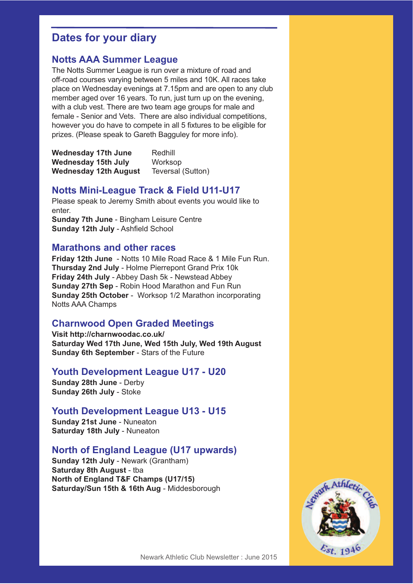# **Dates for your diary**

### **Notts AAA Summer League**

The Notts Summer League is run over a mixture of road and off-road courses varying between 5 miles and 10K. All races take place on Wednesday evenings at 7.15pm and are open to any club member aged over 16 years. To run, just turn up on the evening, with a club vest. There are two team age groups for male and female - Senior and Vets. There are also individual competitions, however you do have to compete in all 5 fixtures to be eligible for prizes. (Please speak to Gareth Bagguley for more info).

| <b>Wednesday 17th June</b>   | Redhill           |
|------------------------------|-------------------|
| Wednesday 15th July          | Worksop           |
| <b>Wednesday 12th August</b> | Teversal (Sutton) |

### **Notts Mini-League Track & Field U11-U17**

Please speak to Jeremy Smith about events you would like to enter. **Sunday 7th June** - Bingham Leisure Centre **Sunday 12th July** - Ashfield School

#### **Marathons and other races**

**Friday 12th June** - Notts 10 Mile Road Race & 1 Mile Fun Run. **Thursday 2nd July** - Holme Pierrepont Grand Prix 10k **Friday 24th July** - Abbey Dash 5k - Newstead Abbey **Sunday 27th Sep** - Robin Hood Marathon and Fun Run **Sunday 25th October** - Worksop 1/2 Marathon incorporating Notts AAA Champs

### **Charnwood Open Graded Meetings**

**Visit http://charnwoodac.co.uk/ Saturday Wed 17th June, Wed 15th July, Wed 19th August Sunday 6th September** - Stars of the Future

#### **Youth Development League U17 - U20**

**Sunday 28th June** - Derby **Sunday 26th July** - Stoke

#### **Youth Development League U13 - U15**

**Sunday 21st June** - Nuneaton **Saturday 18th July** - Nuneaton

#### **North of England League (U17 upwards)**

**Sunday 12th July** - Newark (Grantham) **Saturday 8th August** - tba **North of England T&F Champs (U17/15) Saturday/Sun 15th & 16th Aug** - Middesborough